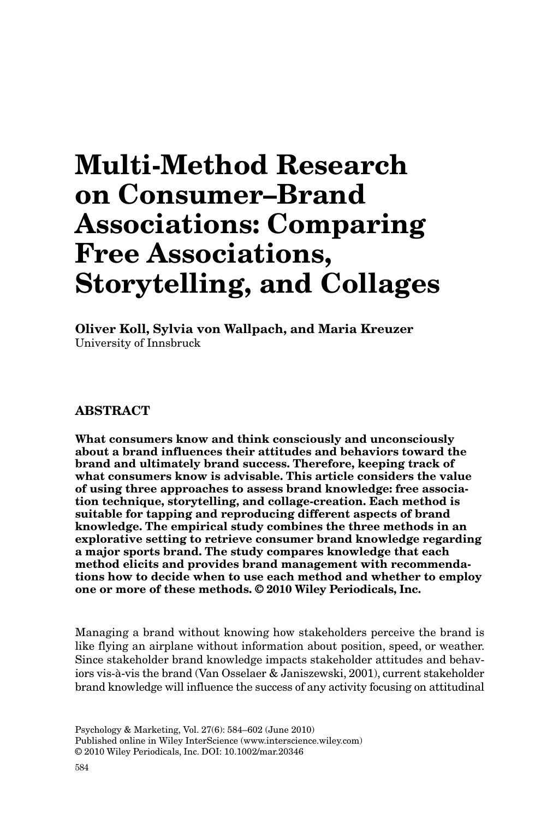# **Multi-Method Research on Consumer–Brand Associations: Comparing Free Associations, Storytelling, and Collages**

**Oliver Koll, Sylvia von Wallpach, and Maria Kreuzer** University of Innsbruck

#### **ABSTRACT**

**What consumers know and think consciously and unconsciously about a brand influences their attitudes and behaviors toward the brand and ultimately brand success. Therefore, keeping track of what consumers know is advisable. This article considers the value of using three approaches to assess brand knowledge: free association technique, storytelling, and collage-creation. Each method is suitable for tapping and reproducing different aspects of brand knowledge. The empirical study combines the three methods in an explorative setting to retrieve consumer brand knowledge regarding a major sports brand. The study compares knowledge that each method elicits and provides brand management with recommendations how to decide when to use each method and whether to employ one or more of these methods. © 2010 Wiley Periodicals, Inc.**

Managing a brand without knowing how stakeholders perceive the brand is like flying an airplane without information about position, speed, or weather. Since stakeholder brand knowledge impacts stakeholder attitudes and behaviors vis-à-vis the brand (Van Osselaer & Janiszewski, 2001), current stakeholder brand knowledge will influence the success of any activity focusing on attitudinal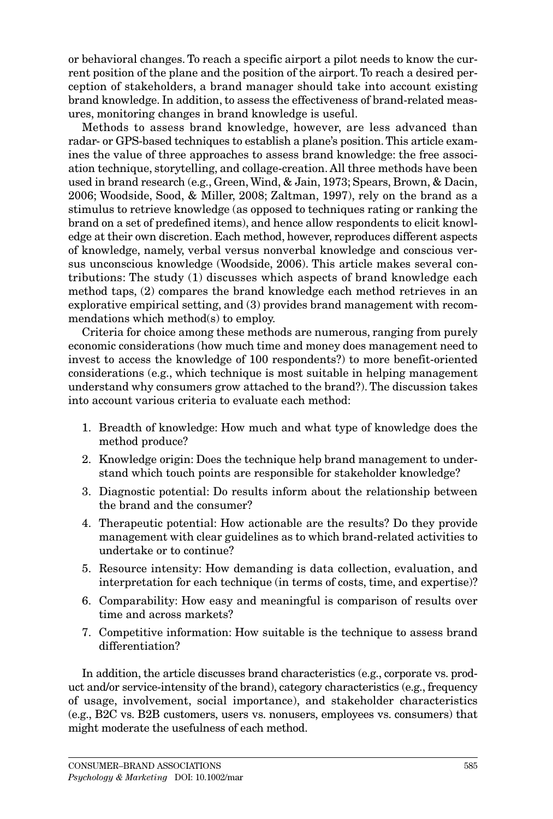or behavioral changes. To reach a specific airport a pilot needs to know the current position of the plane and the position of the airport. To reach a desired perception of stakeholders, a brand manager should take into account existing brand knowledge. In addition, to assess the effectiveness of brand-related measures, monitoring changes in brand knowledge is useful.

Methods to assess brand knowledge, however, are less advanced than radar- or GPS-based techniques to establish a plane's position. This article examines the value of three approaches to assess brand knowledge: the free association technique, storytelling, and collage-creation. All three methods have been used in brand research (e.g., Green, Wind, & Jain, 1973; Spears, Brown, & Dacin, 2006; Woodside, Sood, & Miller, 2008; Zaltman, 1997), rely on the brand as a stimulus to retrieve knowledge (as opposed to techniques rating or ranking the brand on a set of predefined items), and hence allow respondents to elicit knowledge at their own discretion. Each method, however, reproduces different aspects of knowledge, namely, verbal versus nonverbal knowledge and conscious versus unconscious knowledge (Woodside, 2006). This article makes several contributions: The study (1) discusses which aspects of brand knowledge each method taps, (2) compares the brand knowledge each method retrieves in an explorative empirical setting, and (3) provides brand management with recommendations which method(s) to employ.

Criteria for choice among these methods are numerous, ranging from purely economic considerations (how much time and money does management need to invest to access the knowledge of 100 respondents?) to more benefit-oriented considerations (e.g., which technique is most suitable in helping management understand why consumers grow attached to the brand?). The discussion takes into account various criteria to evaluate each method:

- 1. Breadth of knowledge: How much and what type of knowledge does the method produce?
- 2. Knowledge origin: Does the technique help brand management to understand which touch points are responsible for stakeholder knowledge?
- 3. Diagnostic potential: Do results inform about the relationship between the brand and the consumer?
- 4. Therapeutic potential: How actionable are the results? Do they provide management with clear guidelines as to which brand-related activities to undertake or to continue?
- 5. Resource intensity: How demanding is data collection, evaluation, and interpretation for each technique (in terms of costs, time, and expertise)?
- 6. Comparability: How easy and meaningful is comparison of results over time and across markets?
- 7. Competitive information: How suitable is the technique to assess brand differentiation?

In addition, the article discusses brand characteristics (e.g., corporate vs. product and/or service-intensity of the brand), category characteristics (e.g., frequency of usage, involvement, social importance), and stakeholder characteristics (e.g., B2C vs. B2B customers, users vs. nonusers, employees vs. consumers) that might moderate the usefulness of each method.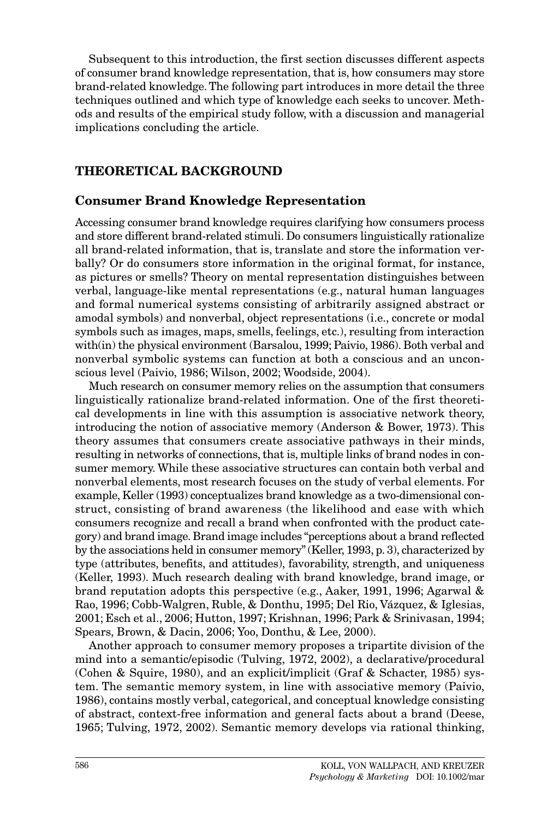Subsequent to this introduction, the first section discusses different aspects of consumer brand knowledge representation, that is, how consumers may store brand-related knowledge. The following part introduces in more detail the three techniques outlined and which type of knowledge each seeks to uncover. Methods and results of the empirical study follow, with a discussion and managerial implications concluding the article.

#### **THEORETICAL BACKGROUND**

#### **Consumer Brand Knowledge Representation**

Accessing consumer brand knowledge requires clarifying how consumers process and store different brand-related stimuli. Do consumers linguistically rationalize all brand-related information, that is, translate and store the information verbally? Or do consumers store information in the original format, for instance, as pictures or smells? Theory on mental representation distinguishes between verbal, language-like mental representations (e.g., natural human languages and formal numerical systems consisting of arbitrarily assigned abstract or amodal symbols) and nonverbal, object representations (i.e., concrete or modal symbols such as images, maps, smells, feelings, etc.), resulting from interaction with(in) the physical environment (Barsalou, 1999; Paivio, 1986). Both verbal and nonverbal symbolic systems can function at both a conscious and an unconscious level (Paivio, 1986; Wilson, 2002; Woodside, 2004).

Much research on consumer memory relies on the assumption that consumers linguistically rationalize brand-related information. One of the first theoretical developments in line with this assumption is associative network theory, introducing the notion of associative memory (Anderson & Bower, 1973). This theory assumes that consumers create associative pathways in their minds, resulting in networks of connections, that is, multiple links of brand nodes in consumer memory. While these associative structures can contain both verbal and nonverbal elements, most research focuses on the study of verbal elements. For example, Keller (1993) conceptualizes brand knowledge as a two-dimensional construct, consisting of brand awareness (the likelihood and ease with which consumers recognize and recall a brand when confronted with the product category) and brand image. Brand image includes "perceptions about a brand reflected by the associations held in consumer memory" (Keller, 1993, p. 3), characterized by type (attributes, benefits, and attitudes), favorability, strength, and uniqueness (Keller, 1993). Much research dealing with brand knowledge, brand image, or brand reputation adopts this perspective (e.g., Aaker, 1991, 1996; Agarwal & Rao, 1996; Cobb-Walgren, Ruble, & Donthu, 1995; Del Rio, Vázquez, & Iglesias, 2001; Esch et al., 2006; Hutton, 1997; Krishnan, 1996; Park & Srinivasan, 1994; Spears, Brown, & Dacin, 2006; Yoo, Donthu, & Lee, 2000).

Another approach to consumer memory proposes a tripartite division of the mind into a semantic/episodic (Tulving, 1972, 2002), a declarative/procedural (Cohen & Squire, 1980), and an explicit/implicit (Graf & Schacter, 1985) system. The semantic memory system, in line with associative memory (Paivio, 1986), contains mostly verbal, categorical, and conceptual knowledge consisting of abstract, context-free information and general facts about a brand (Deese, 1965; Tulving, 1972, 2002). Semantic memory develops via rational thinking,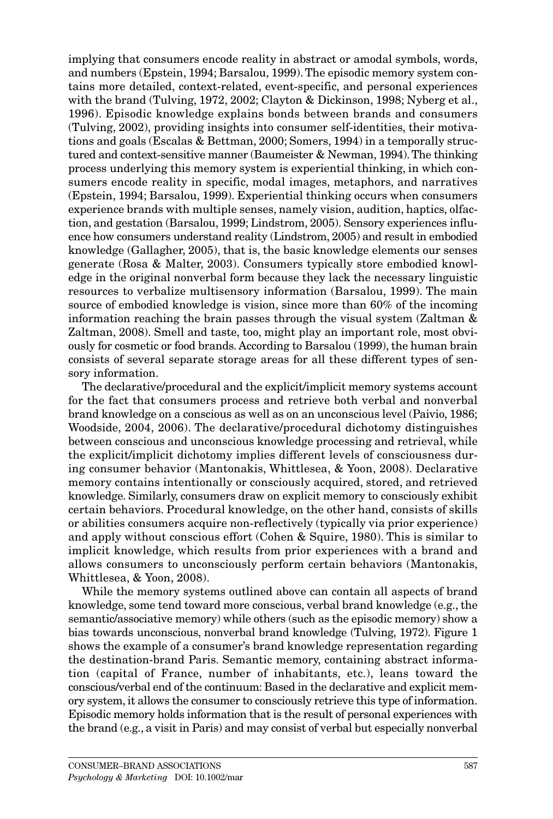implying that consumers encode reality in abstract or amodal symbols, words, and numbers (Epstein, 1994; Barsalou, 1999). The episodic memory system contains more detailed, context-related, event-specific, and personal experiences with the brand (Tulving, 1972, 2002; Clayton & Dickinson, 1998; Nyberg et al., 1996). Episodic knowledge explains bonds between brands and consumers (Tulving, 2002), providing insights into consumer self-identities, their motivations and goals (Escalas & Bettman, 2000; Somers, 1994) in a temporally structured and context-sensitive manner (Baumeister & Newman, 1994). The thinking process underlying this memory system is experiential thinking, in which consumers encode reality in specific, modal images, metaphors, and narratives (Epstein, 1994; Barsalou, 1999). Experiential thinking occurs when consumers experience brands with multiple senses, namely vision, audition, haptics, olfaction, and gestation (Barsalou, 1999; Lindstrom, 2005). Sensory experiences influence how consumers understand reality (Lindstrom, 2005) and result in embodied knowledge (Gallagher, 2005), that is, the basic knowledge elements our senses generate (Rosa & Malter, 2003). Consumers typically store embodied knowledge in the original nonverbal form because they lack the necessary linguistic resources to verbalize multisensory information (Barsalou, 1999). The main source of embodied knowledge is vision, since more than 60% of the incoming information reaching the brain passes through the visual system (Zaltman & Zaltman, 2008). Smell and taste, too, might play an important role, most obviously for cosmetic or food brands. According to Barsalou (1999), the human brain consists of several separate storage areas for all these different types of sensory information.

The declarative/procedural and the explicit/implicit memory systems account for the fact that consumers process and retrieve both verbal and nonverbal brand knowledge on a conscious as well as on an unconscious level (Paivio, 1986; Woodside, 2004, 2006). The declarative/procedural dichotomy distinguishes between conscious and unconscious knowledge processing and retrieval, while the explicit/implicit dichotomy implies different levels of consciousness during consumer behavior (Mantonakis, Whittlesea, & Yoon, 2008). Declarative memory contains intentionally or consciously acquired, stored, and retrieved knowledge. Similarly, consumers draw on explicit memory to consciously exhibit certain behaviors. Procedural knowledge, on the other hand, consists of skills or abilities consumers acquire non-reflectively (typically via prior experience) and apply without conscious effort (Cohen & Squire, 1980). This is similar to implicit knowledge, which results from prior experiences with a brand and allows consumers to unconsciously perform certain behaviors (Mantonakis, Whittlesea, & Yoon, 2008).

While the memory systems outlined above can contain all aspects of brand knowledge, some tend toward more conscious, verbal brand knowledge (e.g., the semantic/associative memory) while others (such as the episodic memory) show a bias towards unconscious, nonverbal brand knowledge (Tulving, 1972). Figure 1 shows the example of a consumer's brand knowledge representation regarding the destination-brand Paris. Semantic memory, containing abstract information (capital of France, number of inhabitants, etc.), leans toward the conscious/verbal end of the continuum: Based in the declarative and explicit memory system, it allows the consumer to consciously retrieve this type of information. Episodic memory holds information that is the result of personal experiences with the brand (e.g., a visit in Paris) and may consist of verbal but especially nonverbal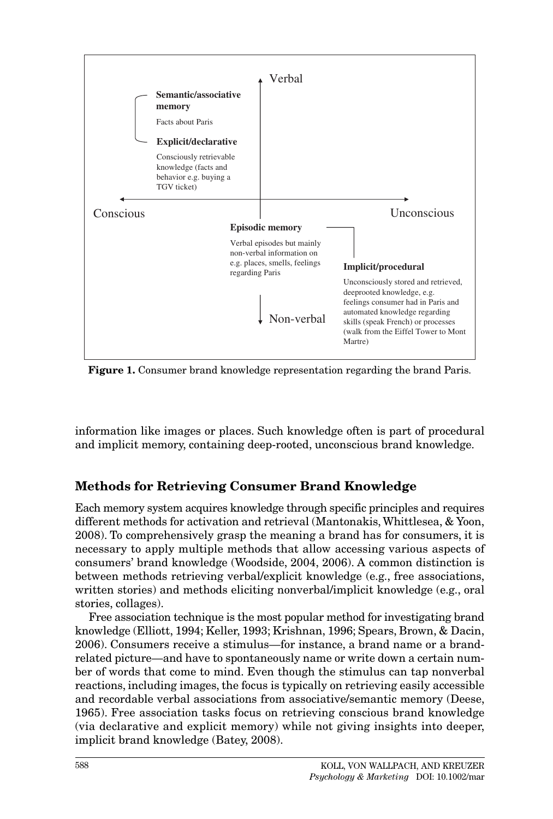

**Figure 1.** Consumer brand knowledge representation regarding the brand Paris.

information like images or places. Such knowledge often is part of procedural and implicit memory, containing deep-rooted, unconscious brand knowledge.

## **Methods for Retrieving Consumer Brand Knowledge**

Each memory system acquires knowledge through specific principles and requires different methods for activation and retrieval (Mantonakis, Whittlesea, & Yoon, 2008). To comprehensively grasp the meaning a brand has for consumers, it is necessary to apply multiple methods that allow accessing various aspects of consumers' brand knowledge (Woodside, 2004, 2006). A common distinction is between methods retrieving verbal/explicit knowledge (e.g., free associations, written stories) and methods eliciting nonverbal/implicit knowledge (e.g., oral stories, collages).

Free association technique is the most popular method for investigating brand knowledge (Elliott, 1994; Keller, 1993; Krishnan, 1996; Spears, Brown, & Dacin, 2006). Consumers receive a stimulus—for instance, a brand name or a brandrelated picture—and have to spontaneously name or write down a certain number of words that come to mind. Even though the stimulus can tap nonverbal reactions, including images, the focus is typically on retrieving easily accessible and recordable verbal associations from associative/semantic memory (Deese, 1965). Free association tasks focus on retrieving conscious brand knowledge (via declarative and explicit memory) while not giving insights into deeper, implicit brand knowledge (Batey, 2008).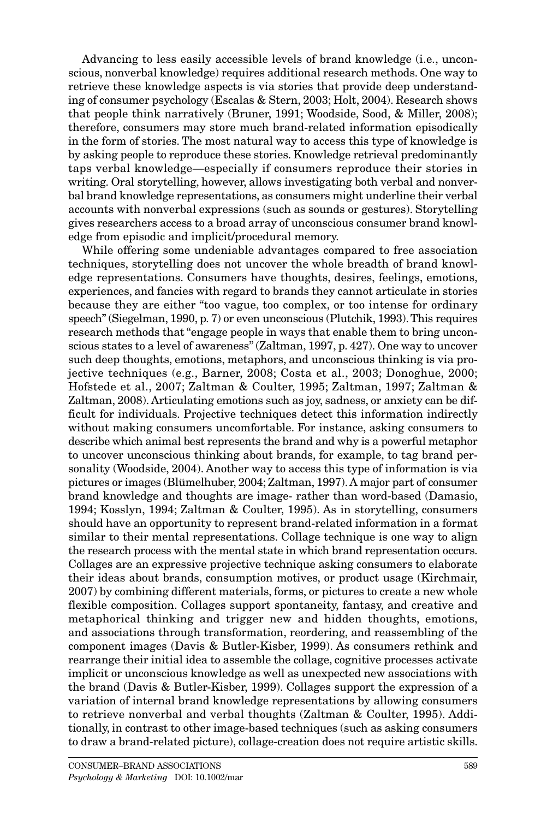Advancing to less easily accessible levels of brand knowledge (i.e., unconscious, nonverbal knowledge) requires additional research methods. One way to retrieve these knowledge aspects is via stories that provide deep understanding of consumer psychology (Escalas & Stern, 2003; Holt, 2004). Research shows that people think narratively (Bruner, 1991; Woodside, Sood, & Miller, 2008); therefore, consumers may store much brand-related information episodically in the form of stories. The most natural way to access this type of knowledge is by asking people to reproduce these stories. Knowledge retrieval predominantly taps verbal knowledge—especially if consumers reproduce their stories in writing. Oral storytelling, however, allows investigating both verbal and nonverbal brand knowledge representations, as consumers might underline their verbal accounts with nonverbal expressions (such as sounds or gestures). Storytelling gives researchers access to a broad array of unconscious consumer brand knowledge from episodic and implicit/procedural memory.

While offering some undeniable advantages compared to free association techniques, storytelling does not uncover the whole breadth of brand knowledge representations. Consumers have thoughts, desires, feelings, emotions, experiences, and fancies with regard to brands they cannot articulate in stories because they are either "too vague, too complex, or too intense for ordinary speech" (Siegelman, 1990, p. 7) or even unconscious (Plutchik, 1993). This requires research methods that "engage people in ways that enable them to bring unconscious states to a level of awareness" (Zaltman, 1997, p. 427). One way to uncover such deep thoughts, emotions, metaphors, and unconscious thinking is via projective techniques (e.g., Barner, 2008; Costa et al., 2003; Donoghue, 2000; Hofstede et al., 2007; Zaltman & Coulter, 1995; Zaltman, 1997; Zaltman & Zaltman, 2008). Articulating emotions such as joy, sadness, or anxiety can be difficult for individuals. Projective techniques detect this information indirectly without making consumers uncomfortable. For instance, asking consumers to describe which animal best represents the brand and why is a powerful metaphor to uncover unconscious thinking about brands, for example, to tag brand personality (Woodside, 2004). Another way to access this type of information is via pictures or images (Blümelhuber, 2004; Zaltman, 1997).A major part of consumer brand knowledge and thoughts are image- rather than word-based (Damasio, 1994; Kosslyn, 1994; Zaltman & Coulter, 1995). As in storytelling, consumers should have an opportunity to represent brand-related information in a format similar to their mental representations. Collage technique is one way to align the research process with the mental state in which brand representation occurs. Collages are an expressive projective technique asking consumers to elaborate their ideas about brands, consumption motives, or product usage (Kirchmair, 2007) by combining different materials, forms, or pictures to create a new whole flexible composition. Collages support spontaneity, fantasy, and creative and metaphorical thinking and trigger new and hidden thoughts, emotions, and associations through transformation, reordering, and reassembling of the component images (Davis & Butler-Kisber, 1999). As consumers rethink and rearrange their initial idea to assemble the collage, cognitive processes activate implicit or unconscious knowledge as well as unexpected new associations with the brand (Davis & Butler-Kisber, 1999). Collages support the expression of a variation of internal brand knowledge representations by allowing consumers to retrieve nonverbal and verbal thoughts (Zaltman & Coulter, 1995). Additionally, in contrast to other image-based techniques (such as asking consumers to draw a brand-related picture), collage-creation does not require artistic skills.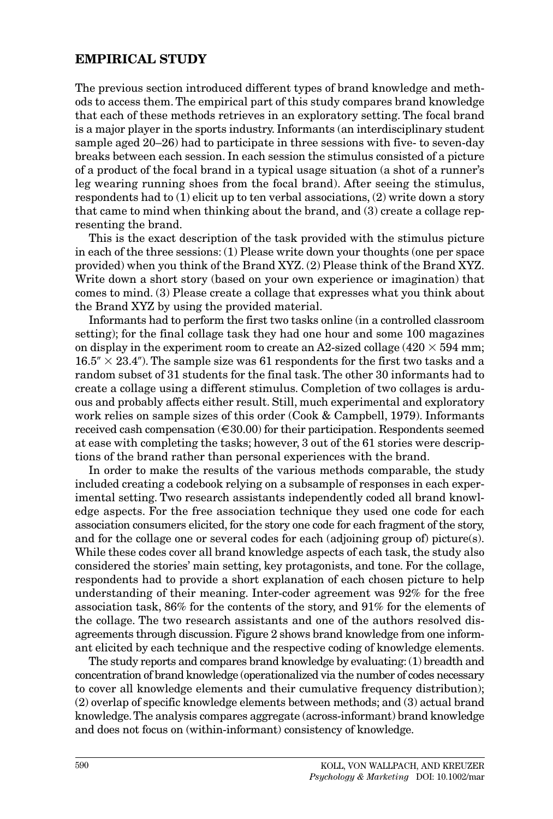#### **EMPIRICAL STUDY**

The previous section introduced different types of brand knowledge and methods to access them. The empirical part of this study compares brand knowledge that each of these methods retrieves in an exploratory setting. The focal brand is a major player in the sports industry. Informants (an interdisciplinary student sample aged 20–26) had to participate in three sessions with five- to seven-day breaks between each session. In each session the stimulus consisted of a picture of a product of the focal brand in a typical usage situation (a shot of a runner's leg wearing running shoes from the focal brand). After seeing the stimulus, respondents had to (1) elicit up to ten verbal associations, (2) write down a story that came to mind when thinking about the brand, and (3) create a collage representing the brand.

This is the exact description of the task provided with the stimulus picture in each of the three sessions: (1) Please write down your thoughts (one per space provided) when you think of the Brand XYZ. (2) Please think of the Brand XYZ. Write down a short story (based on your own experience or imagination) that comes to mind. (3) Please create a collage that expresses what you think about the Brand XYZ by using the provided material.

Informants had to perform the first two tasks online (in a controlled classroom setting); for the final collage task they had one hour and some 100 magazines on display in the experiment room to create an A2-sized collage  $(420 \times 594$  mm;  $16.5'' \times 23.4'$ ). The sample size was 61 respondents for the first two tasks and a random subset of 31 students for the final task. The other 30 informants had to create a collage using a different stimulus. Completion of two collages is arduous and probably affects either result. Still, much experimental and exploratory work relies on sample sizes of this order (Cook & Campbell, 1979). Informants received cash compensation  $(\in 30.00)$  for their participation. Respondents seemed at ease with completing the tasks; however, 3 out of the 61 stories were descriptions of the brand rather than personal experiences with the brand.

In order to make the results of the various methods comparable, the study included creating a codebook relying on a subsample of responses in each experimental setting. Two research assistants independently coded all brand knowledge aspects. For the free association technique they used one code for each association consumers elicited, for the story one code for each fragment of the story, and for the collage one or several codes for each (adjoining group of) picture(s). While these codes cover all brand knowledge aspects of each task, the study also considered the stories' main setting, key protagonists, and tone. For the collage, respondents had to provide a short explanation of each chosen picture to help understanding of their meaning. Inter-coder agreement was 92% for the free association task, 86% for the contents of the story, and 91% for the elements of the collage. The two research assistants and one of the authors resolved disagreements through discussion. Figure 2 shows brand knowledge from one informant elicited by each technique and the respective coding of knowledge elements.

The study reports and compares brand knowledge by evaluating: (1) breadth and concentration of brand knowledge (operationalized via the number of codes necessary to cover all knowledge elements and their cumulative frequency distribution); (2) overlap of specific knowledge elements between methods; and (3) actual brand knowledge.The analysis compares aggregate (across-informant) brand knowledge and does not focus on (within-informant) consistency of knowledge.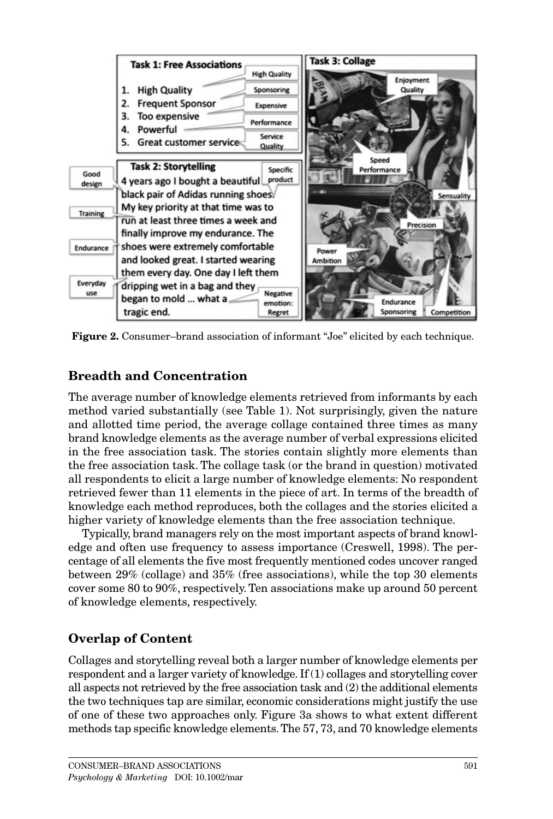

**Figure 2.** Consumer–brand association of informant "Joe" elicited by each technique.

# **Breadth and Concentration**

The average number of knowledge elements retrieved from informants by each method varied substantially (see Table 1). Not surprisingly, given the nature and allotted time period, the average collage contained three times as many brand knowledge elements as the average number of verbal expressions elicited in the free association task. The stories contain slightly more elements than the free association task. The collage task (or the brand in question) motivated all respondents to elicit a large number of knowledge elements: No respondent retrieved fewer than 11 elements in the piece of art. In terms of the breadth of knowledge each method reproduces, both the collages and the stories elicited a higher variety of knowledge elements than the free association technique.

Typically, brand managers rely on the most important aspects of brand knowledge and often use frequency to assess importance (Creswell, 1998). The percentage of all elements the five most frequently mentioned codes uncover ranged between 29% (collage) and 35% (free associations), while the top 30 elements cover some 80 to 90%, respectively. Ten associations make up around 50 percent of knowledge elements, respectively.

## **Overlap of Content**

Collages and storytelling reveal both a larger number of knowledge elements per respondent and a larger variety of knowledge. If (1) collages and storytelling cover all aspects not retrieved by the free association task and (2) the additional elements the two techniques tap are similar, economic considerations might justify the use of one of these two approaches only. Figure 3a shows to what extent different methods tap specific knowledge elements.The 57, 73, and 70 knowledge elements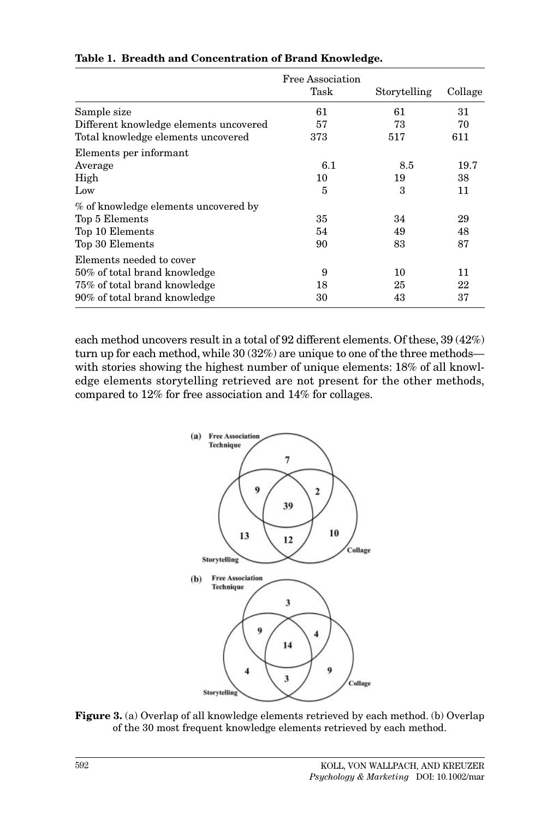|                                        | Free Association<br>Task | Storytelling | Collage |
|----------------------------------------|--------------------------|--------------|---------|
| Sample size                            | 61                       | 61           | 31      |
| Different knowledge elements uncovered | 57                       | 73           | 70      |
| Total knowledge elements uncovered     | 373                      | 517          | 611     |
| Elements per informant                 |                          |              |         |
| Average                                | 6.1                      | 8.5          | 19.7    |
| High                                   | 10                       | 19           | 38      |
| Low                                    | 5                        | 3            | 11      |
| % of knowledge elements uncovered by   |                          |              |         |
| Top 5 Elements                         | 35                       | 34           | 29      |
| Top 10 Elements                        | 54                       | 49           | 48      |
| Top 30 Elements                        | 90                       | 83           | 87      |
| Elements needed to cover               |                          |              |         |
| 50% of total brand knowledge           | 9                        | 10           | 11      |
| 75% of total brand knowledge           | 18                       | 25           | 22      |
| 90% of total brand knowledge           | 30                       | 43           | 37      |

#### **Table 1. Breadth and Concentration of Brand Knowledge.**

each method uncovers result in a total of 92 different elements. Of these, 39 (42%) turn up for each method, while 30 (32%) are unique to one of the three methods with stories showing the highest number of unique elements: 18% of all knowledge elements storytelling retrieved are not present for the other methods, compared to 12% for free association and 14% for collages.



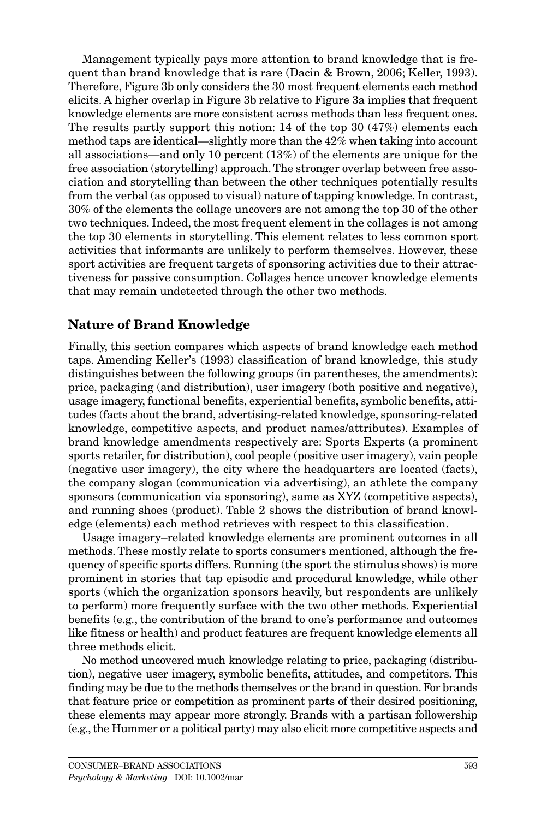Management typically pays more attention to brand knowledge that is frequent than brand knowledge that is rare (Dacin & Brown, 2006; Keller, 1993). Therefore, Figure 3b only considers the 30 most frequent elements each method elicits. A higher overlap in Figure 3b relative to Figure 3a implies that frequent knowledge elements are more consistent across methods than less frequent ones. The results partly support this notion:  $14$  of the top  $30 \ (47%)$  elements each method taps are identical—slightly more than the 42% when taking into account all associations—and only 10 percent (13%) of the elements are unique for the free association (storytelling) approach. The stronger overlap between free association and storytelling than between the other techniques potentially results from the verbal (as opposed to visual) nature of tapping knowledge. In contrast, 30% of the elements the collage uncovers are not among the top 30 of the other two techniques. Indeed, the most frequent element in the collages is not among the top 30 elements in storytelling. This element relates to less common sport activities that informants are unlikely to perform themselves. However, these sport activities are frequent targets of sponsoring activities due to their attractiveness for passive consumption. Collages hence uncover knowledge elements that may remain undetected through the other two methods.

## **Nature of Brand Knowledge**

Finally, this section compares which aspects of brand knowledge each method taps. Amending Keller's (1993) classification of brand knowledge, this study distinguishes between the following groups (in parentheses, the amendments): price, packaging (and distribution), user imagery (both positive and negative), usage imagery, functional benefits, experiential benefits, symbolic benefits, attitudes (facts about the brand, advertising-related knowledge, sponsoring-related knowledge, competitive aspects, and product names/attributes). Examples of brand knowledge amendments respectively are: Sports Experts (a prominent sports retailer, for distribution), cool people (positive user imagery), vain people (negative user imagery), the city where the headquarters are located (facts), the company slogan (communication via advertising), an athlete the company sponsors (communication via sponsoring), same as XYZ (competitive aspects), and running shoes (product). Table 2 shows the distribution of brand knowledge (elements) each method retrieves with respect to this classification.

Usage imagery–related knowledge elements are prominent outcomes in all methods. These mostly relate to sports consumers mentioned, although the frequency of specific sports differs. Running (the sport the stimulus shows) is more prominent in stories that tap episodic and procedural knowledge, while other sports (which the organization sponsors heavily, but respondents are unlikely to perform) more frequently surface with the two other methods. Experiential benefits (e.g., the contribution of the brand to one's performance and outcomes like fitness or health) and product features are frequent knowledge elements all three methods elicit.

No method uncovered much knowledge relating to price, packaging (distribution), negative user imagery, symbolic benefits, attitudes, and competitors. This finding may be due to the methods themselves or the brand in question. For brands that feature price or competition as prominent parts of their desired positioning, these elements may appear more strongly. Brands with a partisan followership (e.g., the Hummer or a political party) may also elicit more competitive aspects and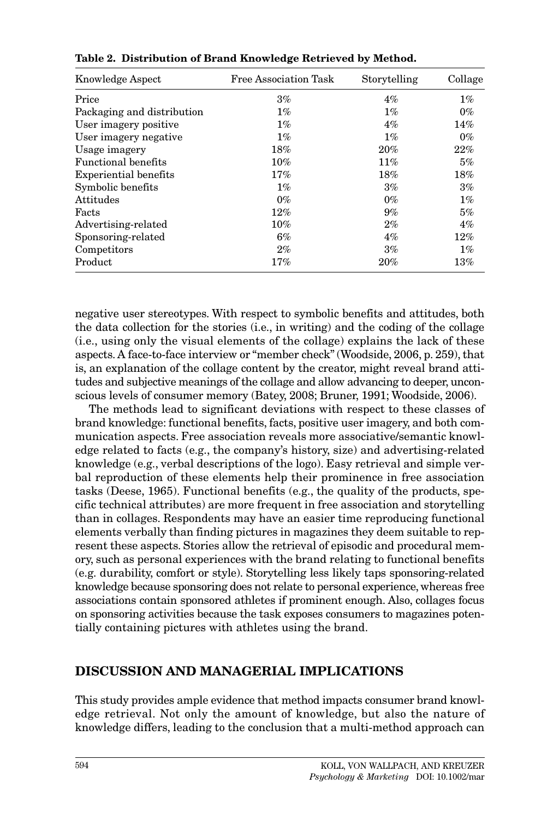| Knowledge Aspect             | Free Association Task | Storytelling | Collage |  |
|------------------------------|-----------------------|--------------|---------|--|
| Price                        | 3%                    | $4\%$        | $1\%$   |  |
| Packaging and distribution   | $1\%$                 | $1\%$        | $0\%$   |  |
| User imagery positive        | $1\%$                 | $4\%$        | 14%     |  |
| User imagery negative        | $1\%$                 | $1\%$        | $0\%$   |  |
| Usage imagery                | $18\%$                | 20%          | 22%     |  |
| Functional benefits          | 10%                   | 11%          | 5%      |  |
| <b>Experiential benefits</b> | 17%                   | 18%          | 18%     |  |
| Symbolic benefits            | $1\%$                 | 3%           | $3\%$   |  |
| Attitudes                    | $0\%$                 | $0\%$        | $1\%$   |  |
| Facts                        | 12%                   | 9%           | 5%      |  |
| Advertising-related          | 10%                   | $2\%$        | $4\%$   |  |
| Sponsoring-related           | 6%                    | $4\%$        | 12%     |  |
| Competitors                  | $2\%$                 | 3%           | $1\%$   |  |
| Product                      | 17%                   | $20\%$       | $13\%$  |  |

|  | Table 2. Distribution of Brand Knowledge Retrieved by Method. |  |  |  |  |
|--|---------------------------------------------------------------|--|--|--|--|
|--|---------------------------------------------------------------|--|--|--|--|

negative user stereotypes. With respect to symbolic benefits and attitudes, both the data collection for the stories (i.e., in writing) and the coding of the collage (i.e., using only the visual elements of the collage) explains the lack of these aspects. A face-to-face interview or "member check" (Woodside, 2006, p. 259), that is, an explanation of the collage content by the creator, might reveal brand attitudes and subjective meanings of the collage and allow advancing to deeper, unconscious levels of consumer memory (Batey, 2008; Bruner, 1991; Woodside, 2006).

The methods lead to significant deviations with respect to these classes of brand knowledge: functional benefits, facts, positive user imagery, and both communication aspects. Free association reveals more associative/semantic knowledge related to facts (e.g., the company's history, size) and advertising-related knowledge (e.g., verbal descriptions of the logo). Easy retrieval and simple verbal reproduction of these elements help their prominence in free association tasks (Deese, 1965). Functional benefits (e.g., the quality of the products, specific technical attributes) are more frequent in free association and storytelling than in collages. Respondents may have an easier time reproducing functional elements verbally than finding pictures in magazines they deem suitable to represent these aspects. Stories allow the retrieval of episodic and procedural memory, such as personal experiences with the brand relating to functional benefits (e.g. durability, comfort or style). Storytelling less likely taps sponsoring-related knowledge because sponsoring does not relate to personal experience, whereas free associations contain sponsored athletes if prominent enough. Also, collages focus on sponsoring activities because the task exposes consumers to magazines potentially containing pictures with athletes using the brand.

#### **DISCUSSION AND MANAGERIAL IMPLICATIONS**

This study provides ample evidence that method impacts consumer brand knowledge retrieval. Not only the amount of knowledge, but also the nature of knowledge differs, leading to the conclusion that a multi-method approach can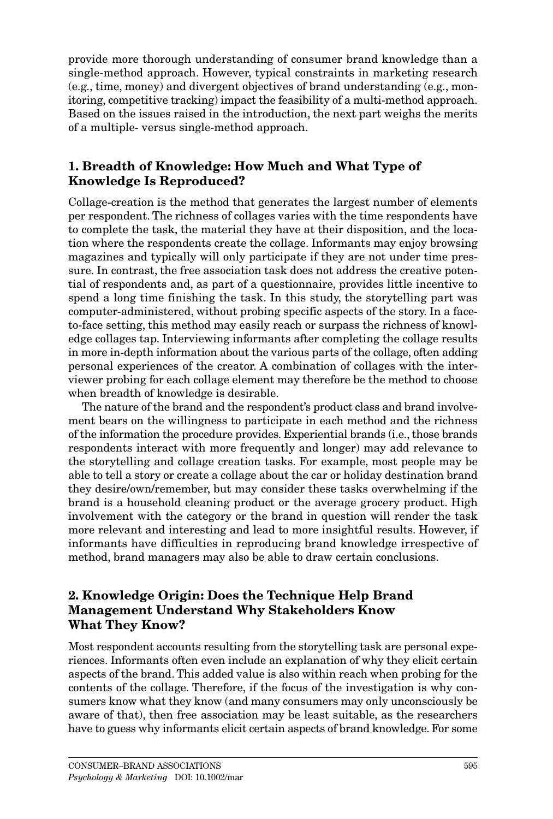provide more thorough understanding of consumer brand knowledge than a single-method approach. However, typical constraints in marketing research (e.g., time, money) and divergent objectives of brand understanding (e.g., monitoring, competitive tracking) impact the feasibility of a multi-method approach. Based on the issues raised in the introduction, the next part weighs the merits of a multiple- versus single-method approach.

## **1. Breadth of Knowledge: How Much and What Type of Knowledge Is Reproduced?**

Collage-creation is the method that generates the largest number of elements per respondent. The richness of collages varies with the time respondents have to complete the task, the material they have at their disposition, and the location where the respondents create the collage. Informants may enjoy browsing magazines and typically will only participate if they are not under time pressure. In contrast, the free association task does not address the creative potential of respondents and, as part of a questionnaire, provides little incentive to spend a long time finishing the task. In this study, the storytelling part was computer-administered, without probing specific aspects of the story. In a faceto-face setting, this method may easily reach or surpass the richness of knowledge collages tap. Interviewing informants after completing the collage results in more in-depth information about the various parts of the collage, often adding personal experiences of the creator. A combination of collages with the interviewer probing for each collage element may therefore be the method to choose when breadth of knowledge is desirable.

The nature of the brand and the respondent's product class and brand involvement bears on the willingness to participate in each method and the richness of the information the procedure provides. Experiential brands (i.e., those brands respondents interact with more frequently and longer) may add relevance to the storytelling and collage creation tasks. For example, most people may be able to tell a story or create a collage about the car or holiday destination brand they desire/own/remember, but may consider these tasks overwhelming if the brand is a household cleaning product or the average grocery product. High involvement with the category or the brand in question will render the task more relevant and interesting and lead to more insightful results. However, if informants have difficulties in reproducing brand knowledge irrespective of method, brand managers may also be able to draw certain conclusions.

## **2. Knowledge Origin: Does the Technique Help Brand Management Understand Why Stakeholders Know What They Know?**

Most respondent accounts resulting from the storytelling task are personal experiences. Informants often even include an explanation of why they elicit certain aspects of the brand. This added value is also within reach when probing for the contents of the collage. Therefore, if the focus of the investigation is why consumers know what they know (and many consumers may only unconsciously be aware of that), then free association may be least suitable, as the researchers have to guess why informants elicit certain aspects of brand knowledge. For some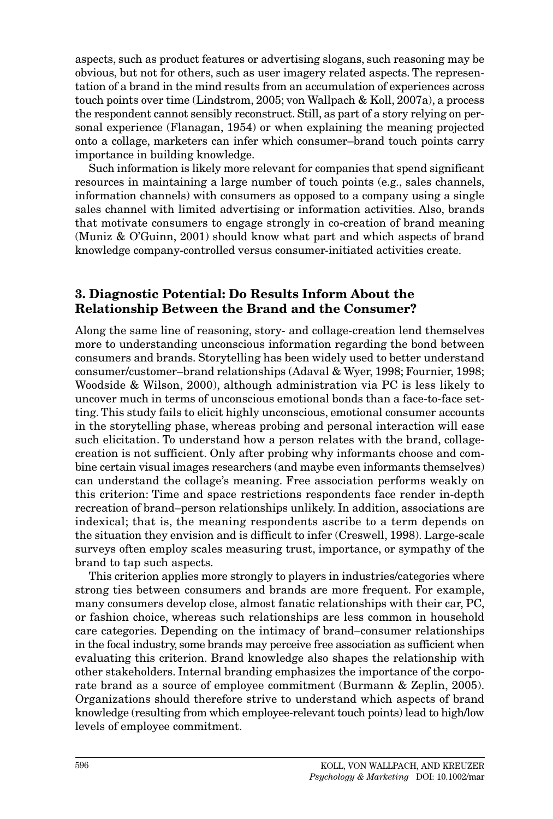aspects, such as product features or advertising slogans, such reasoning may be obvious, but not for others, such as user imagery related aspects. The representation of a brand in the mind results from an accumulation of experiences across touch points over time (Lindstrom, 2005; von Wallpach & Koll, 2007a), a process the respondent cannot sensibly reconstruct. Still, as part of a story relying on personal experience (Flanagan, 1954) or when explaining the meaning projected onto a collage, marketers can infer which consumer–brand touch points carry importance in building knowledge.

Such information is likely more relevant for companies that spend significant resources in maintaining a large number of touch points (e.g., sales channels, information channels) with consumers as opposed to a company using a single sales channel with limited advertising or information activities. Also, brands that motivate consumers to engage strongly in co-creation of brand meaning (Muniz & O'Guinn, 2001) should know what part and which aspects of brand knowledge company-controlled versus consumer-initiated activities create.

#### **3. Diagnostic Potential: Do Results Inform About the Relationship Between the Brand and the Consumer?**

Along the same line of reasoning, story- and collage-creation lend themselves more to understanding unconscious information regarding the bond between consumers and brands. Storytelling has been widely used to better understand consumer/customer–brand relationships (Adaval & Wyer, 1998; Fournier, 1998; Woodside & Wilson, 2000), although administration via PC is less likely to uncover much in terms of unconscious emotional bonds than a face-to-face setting. This study fails to elicit highly unconscious, emotional consumer accounts in the storytelling phase, whereas probing and personal interaction will ease such elicitation. To understand how a person relates with the brand, collagecreation is not sufficient. Only after probing why informants choose and combine certain visual images researchers (and maybe even informants themselves) can understand the collage's meaning. Free association performs weakly on this criterion: Time and space restrictions respondents face render in-depth recreation of brand–person relationships unlikely. In addition, associations are indexical; that is, the meaning respondents ascribe to a term depends on the situation they envision and is difficult to infer (Creswell, 1998). Large-scale surveys often employ scales measuring trust, importance, or sympathy of the brand to tap such aspects.

This criterion applies more strongly to players in industries/categories where strong ties between consumers and brands are more frequent. For example, many consumers develop close, almost fanatic relationships with their car, PC, or fashion choice, whereas such relationships are less common in household care categories. Depending on the intimacy of brand–consumer relationships in the focal industry, some brands may perceive free association as sufficient when evaluating this criterion. Brand knowledge also shapes the relationship with other stakeholders. Internal branding emphasizes the importance of the corporate brand as a source of employee commitment (Burmann & Zeplin, 2005). Organizations should therefore strive to understand which aspects of brand knowledge (resulting from which employee-relevant touch points) lead to high/low levels of employee commitment.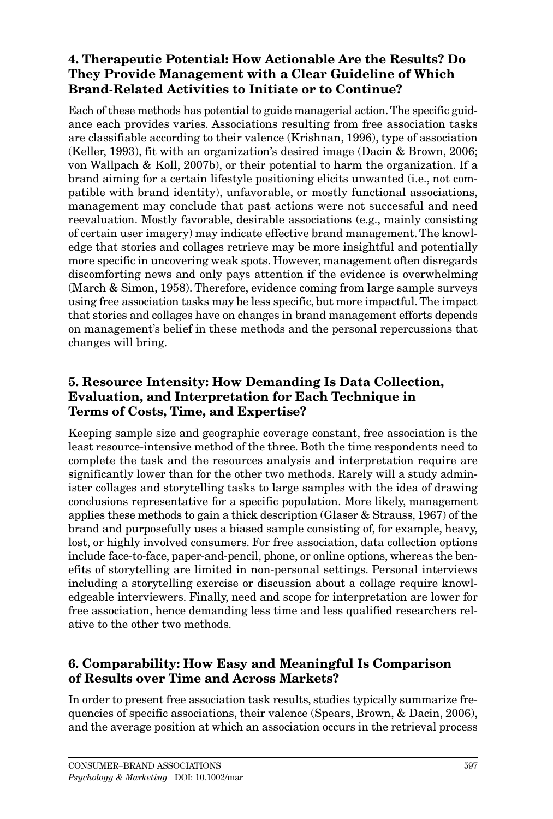## **4. Therapeutic Potential: How Actionable Are the Results? Do They Provide Management with a Clear Guideline of Which Brand-Related Activities to Initiate or to Continue?**

Each of these methods has potential to guide managerial action. The specific guidance each provides varies. Associations resulting from free association tasks are classifiable according to their valence (Krishnan, 1996), type of association (Keller, 1993), fit with an organization's desired image (Dacin & Brown, 2006; von Wallpach & Koll, 2007b), or their potential to harm the organization. If a brand aiming for a certain lifestyle positioning elicits unwanted (i.e., not compatible with brand identity), unfavorable, or mostly functional associations, management may conclude that past actions were not successful and need reevaluation. Mostly favorable, desirable associations (e.g., mainly consisting of certain user imagery) may indicate effective brand management. The knowledge that stories and collages retrieve may be more insightful and potentially more specific in uncovering weak spots. However, management often disregards discomforting news and only pays attention if the evidence is overwhelming (March & Simon, 1958). Therefore, evidence coming from large sample surveys using free association tasks may be less specific, but more impactful. The impact that stories and collages have on changes in brand management efforts depends on management's belief in these methods and the personal repercussions that changes will bring.

## **5. Resource Intensity: How Demanding Is Data Collection, Evaluation, and Interpretation for Each Technique in Terms of Costs, Time, and Expertise?**

Keeping sample size and geographic coverage constant, free association is the least resource-intensive method of the three. Both the time respondents need to complete the task and the resources analysis and interpretation require are significantly lower than for the other two methods. Rarely will a study administer collages and storytelling tasks to large samples with the idea of drawing conclusions representative for a specific population. More likely, management applies these methods to gain a thick description (Glaser & Strauss, 1967) of the brand and purposefully uses a biased sample consisting of, for example, heavy, lost, or highly involved consumers. For free association, data collection options include face-to-face, paper-and-pencil, phone, or online options, whereas the benefits of storytelling are limited in non-personal settings. Personal interviews including a storytelling exercise or discussion about a collage require knowledgeable interviewers. Finally, need and scope for interpretation are lower for free association, hence demanding less time and less qualified researchers relative to the other two methods.

## **6. Comparability: How Easy and Meaningful Is Comparison of Results over Time and Across Markets?**

In order to present free association task results, studies typically summarize frequencies of specific associations, their valence (Spears, Brown, & Dacin, 2006), and the average position at which an association occurs in the retrieval process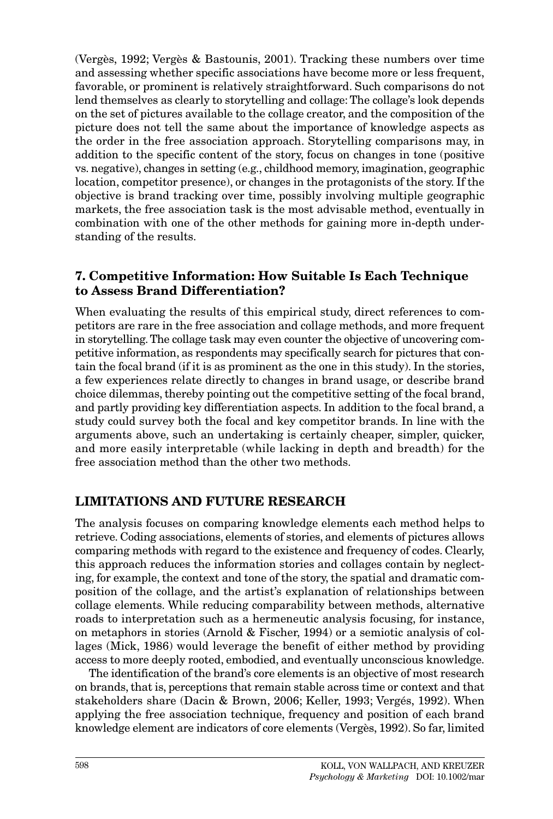(Vergès, 1992; Vergès & Bastounis, 2001). Tracking these numbers over time and assessing whether specific associations have become more or less frequent, favorable, or prominent is relatively straightforward. Such comparisons do not lend themselves as clearly to storytelling and collage: The collage's look depends on the set of pictures available to the collage creator, and the composition of the picture does not tell the same about the importance of knowledge aspects as the order in the free association approach. Storytelling comparisons may, in addition to the specific content of the story, focus on changes in tone (positive vs. negative), changes in setting (e.g., childhood memory, imagination, geographic location, competitor presence), or changes in the protagonists of the story. If the objective is brand tracking over time, possibly involving multiple geographic markets, the free association task is the most advisable method, eventually in combination with one of the other methods for gaining more in-depth understanding of the results.

## **7. Competitive Information: How Suitable Is Each Technique to Assess Brand Differentiation?**

When evaluating the results of this empirical study, direct references to competitors are rare in the free association and collage methods, and more frequent in storytelling. The collage task may even counter the objective of uncovering competitive information, as respondents may specifically search for pictures that contain the focal brand (if it is as prominent as the one in this study). In the stories, a few experiences relate directly to changes in brand usage, or describe brand choice dilemmas, thereby pointing out the competitive setting of the focal brand, and partly providing key differentiation aspects. In addition to the focal brand, a study could survey both the focal and key competitor brands. In line with the arguments above, such an undertaking is certainly cheaper, simpler, quicker, and more easily interpretable (while lacking in depth and breadth) for the free association method than the other two methods.

## **LIMITATIONS AND FUTURE RESEARCH**

The analysis focuses on comparing knowledge elements each method helps to retrieve. Coding associations, elements of stories, and elements of pictures allows comparing methods with regard to the existence and frequency of codes. Clearly, this approach reduces the information stories and collages contain by neglecting, for example, the context and tone of the story, the spatial and dramatic composition of the collage, and the artist's explanation of relationships between collage elements. While reducing comparability between methods, alternative roads to interpretation such as a hermeneutic analysis focusing, for instance, on metaphors in stories (Arnold & Fischer, 1994) or a semiotic analysis of collages (Mick, 1986) would leverage the benefit of either method by providing access to more deeply rooted, embodied, and eventually unconscious knowledge.

The identification of the brand's core elements is an objective of most research on brands, that is, perceptions that remain stable across time or context and that stakeholders share (Dacin & Brown, 2006; Keller, 1993; Vergés, 1992). When applying the free association technique, frequency and position of each brand knowledge element are indicators of core elements (Vergès, 1992). So far, limited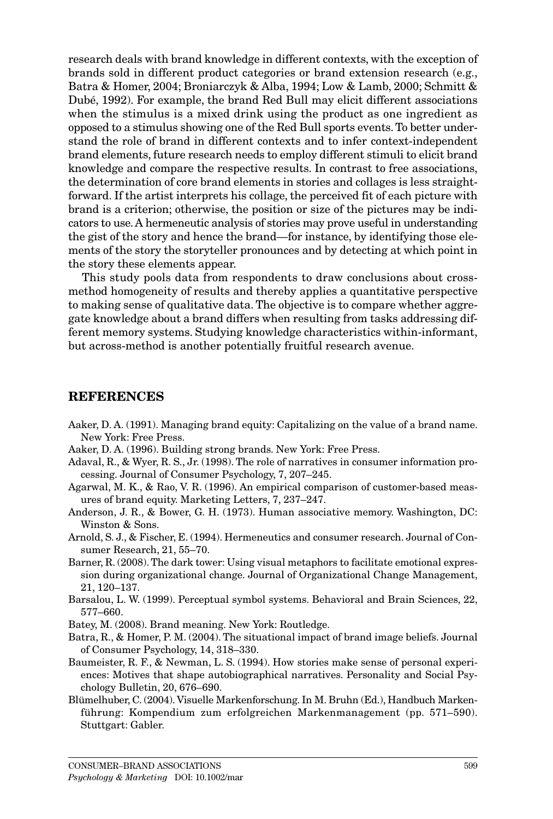research deals with brand knowledge in different contexts, with the exception of brands sold in different product categories or brand extension research (e.g., Batra & Homer, 2004; Broniarczyk & Alba, 1994; Low & Lamb, 2000; Schmitt & Dubé, 1992). For example, the brand Red Bull may elicit different associations when the stimulus is a mixed drink using the product as one ingredient as opposed to a stimulus showing one of the Red Bull sports events. To better understand the role of brand in different contexts and to infer context-independent brand elements, future research needs to employ different stimuli to elicit brand knowledge and compare the respective results. In contrast to free associations, the determination of core brand elements in stories and collages is less straightforward. If the artist interprets his collage, the perceived fit of each picture with brand is a criterion; otherwise, the position or size of the pictures may be indicators to use.A hermeneutic analysis of stories may prove useful in understanding the gist of the story and hence the brand—for instance, by identifying those elements of the story the storyteller pronounces and by detecting at which point in the story these elements appear.

This study pools data from respondents to draw conclusions about crossmethod homogeneity of results and thereby applies a quantitative perspective to making sense of qualitative data. The objective is to compare whether aggregate knowledge about a brand differs when resulting from tasks addressing different memory systems. Studying knowledge characteristics within-informant, but across-method is another potentially fruitful research avenue.

#### **REFERENCES**

- Aaker, D. A. (1991). Managing brand equity: Capitalizing on the value of a brand name. New York: Free Press.
- Aaker, D. A. (1996). Building strong brands. New York: Free Press.
- Adaval, R., & Wyer, R. S., Jr. (1998). The role of narratives in consumer information processing. Journal of Consumer Psychology, 7, 207–245.
- Agarwal, M. K., & Rao, V. R. (1996). An empirical comparison of customer-based measures of brand equity. Marketing Letters, 7, 237–247.
- Anderson, J. R., & Bower, G. H. (1973). Human associative memory. Washington, DC: Winston & Sons.
- Arnold, S. J., & Fischer, E. (1994). Hermeneutics and consumer research. Journal of Consumer Research, 21, 55–70.
- Barner, R. (2008). The dark tower: Using visual metaphors to facilitate emotional expression during organizational change. Journal of Organizational Change Management, 21, 120–137.
- Barsalou, L. W. (1999). Perceptual symbol systems. Behavioral and Brain Sciences, 22, 577–660.
- Batey, M. (2008). Brand meaning. New York: Routledge.
- Batra, R., & Homer, P. M. (2004). The situational impact of brand image beliefs. Journal of Consumer Psychology, 14, 318–330.
- Baumeister, R. F., & Newman, L. S. (1994). How stories make sense of personal experiences: Motives that shape autobiographical narratives. Personality and Social Psychology Bulletin, 20, 676–690.
- Blümelhuber, C. (2004). Visuelle Markenforschung. In M. Bruhn (Ed.), Handbuch Markenführung: Kompendium zum erfolgreichen Markenmanagement (pp. 571–590). Stuttgart: Gabler.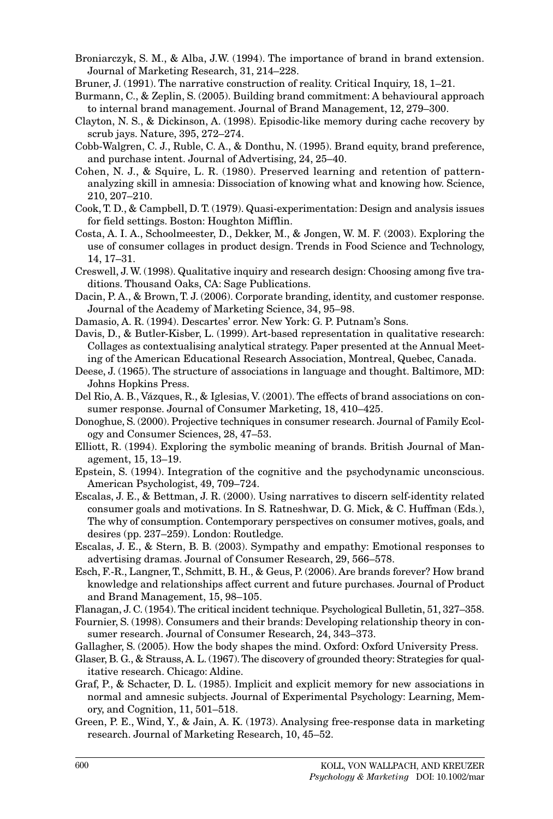- Broniarczyk, S. M., & Alba, J.W. (1994). The importance of brand in brand extension. Journal of Marketing Research, 31, 214–228.
- Bruner, J. (1991). The narrative construction of reality. Critical Inquiry, 18, 1–21.
- Burmann, C., & Zeplin, S. (2005). Building brand commitment: A behavioural approach to internal brand management. Journal of Brand Management, 12, 279–300.
- Clayton, N. S., & Dickinson, A. (1998). Episodic-like memory during cache recovery by scrub jays. Nature, 395, 272–274.
- Cobb-Walgren, C. J., Ruble, C. A., & Donthu, N. (1995). Brand equity, brand preference, and purchase intent. Journal of Advertising, 24, 25–40.
- Cohen, N. J., & Squire, L. R. (1980). Preserved learning and retention of patternanalyzing skill in amnesia: Dissociation of knowing what and knowing how. Science, 210, 207–210.
- Cook, T. D., & Campbell, D. T. (1979). Quasi-experimentation: Design and analysis issues for field settings. Boston: Houghton Mifflin.
- Costa, A. I. A., Schoolmeester, D., Dekker, M., & Jongen, W. M. F. (2003). Exploring the use of consumer collages in product design. Trends in Food Science and Technology, 14, 17–31.
- Creswell, J. W. (1998). Qualitative inquiry and research design: Choosing among five traditions. Thousand Oaks, CA: Sage Publications.
- Dacin, P. A., & Brown, T. J. (2006). Corporate branding, identity, and customer response. Journal of the Academy of Marketing Science, 34, 95–98.
- Damasio, A. R. (1994). Descartes' error. New York: G. P. Putnam's Sons.
- Davis, D., & Butler-Kisber, L. (1999). Art-based representation in qualitative research: Collages as contextualising analytical strategy. Paper presented at the Annual Meeting of the American Educational Research Association, Montreal, Quebec, Canada.
- Deese, J. (1965). The structure of associations in language and thought. Baltimore, MD: Johns Hopkins Press.
- Del Rio, A. B., Vázques, R., & Iglesias, V. (2001). The effects of brand associations on consumer response. Journal of Consumer Marketing, 18, 410–425.
- Donoghue, S. (2000). Projective techniques in consumer research. Journal of Family Ecology and Consumer Sciences, 28, 47–53.
- Elliott, R. (1994). Exploring the symbolic meaning of brands. British Journal of Management, 15, 13–19.
- Epstein, S. (1994). Integration of the cognitive and the psychodynamic unconscious. American Psychologist, 49, 709–724.
- Escalas, J. E., & Bettman, J. R. (2000). Using narratives to discern self-identity related consumer goals and motivations. In S. Ratneshwar, D. G. Mick, & C. Huffman (Eds.), The why of consumption. Contemporary perspectives on consumer motives, goals, and desires (pp. 237–259). London: Routledge.
- Escalas, J. E., & Stern, B. B. (2003). Sympathy and empathy: Emotional responses to advertising dramas. Journal of Consumer Research, 29, 566–578.
- Esch, F.-R., Langner, T., Schmitt, B. H., & Geus, P. (2006). Are brands forever? How brand knowledge and relationships affect current and future purchases. Journal of Product and Brand Management, 15, 98–105.
- Flanagan, J. C. (1954). The critical incident technique. Psychological Bulletin, 51, 327–358.
- Fournier, S. (1998). Consumers and their brands: Developing relationship theory in consumer research. Journal of Consumer Research, 24, 343–373.
- Gallagher, S. (2005). How the body shapes the mind. Oxford: Oxford University Press.
- Glaser, B. G., & Strauss, A. L. (1967). The discovery of grounded theory: Strategies for qualitative research. Chicago: Aldine.
- Graf, P., & Schacter, D. L. (1985). Implicit and explicit memory for new associations in normal and amnesic subjects. Journal of Experimental Psychology: Learning, Memory, and Cognition, 11, 501–518.
- Green, P. E., Wind, Y., & Jain, A. K. (1973). Analysing free-response data in marketing research. Journal of Marketing Research, 10, 45–52.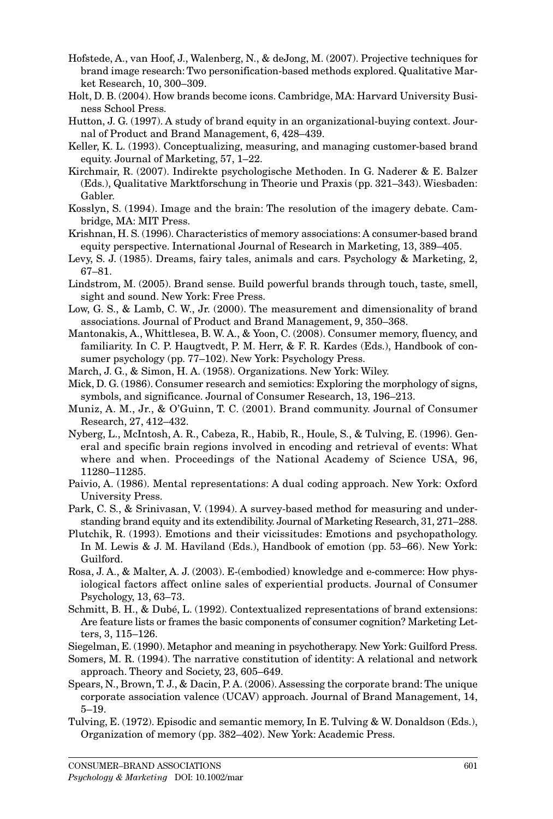- Hofstede, A., van Hoof, J., Walenberg, N., & deJong, M. (2007). Projective techniques for brand image research: Two personification-based methods explored. Qualitative Market Research, 10, 300–309.
- Holt, D. B. (2004). How brands become icons. Cambridge, MA: Harvard University Business School Press.
- Hutton, J. G. (1997). A study of brand equity in an organizational-buying context. Journal of Product and Brand Management, 6, 428–439.
- Keller, K. L. (1993). Conceptualizing, measuring, and managing customer-based brand equity. Journal of Marketing, 57, 1–22.
- Kirchmair, R. (2007). Indirekte psychologische Methoden. In G. Naderer & E. Balzer (Eds.), Qualitative Marktforschung in Theorie und Praxis (pp. 321–343). Wiesbaden: Gabler.
- Kosslyn, S. (1994). Image and the brain: The resolution of the imagery debate. Cambridge, MA: MIT Press.
- Krishnan, H. S. (1996). Characteristics of memory associations: A consumer-based brand equity perspective. International Journal of Research in Marketing, 13, 389–405.
- Levy, S. J. (1985). Dreams, fairy tales, animals and cars. Psychology & Marketing, 2, 67–81.
- Lindstrom, M. (2005). Brand sense. Build powerful brands through touch, taste, smell, sight and sound. New York: Free Press.
- Low, G. S., & Lamb, C. W., Jr. (2000). The measurement and dimensionality of brand associations. Journal of Product and Brand Management, 9, 350–368.
- Mantonakis, A., Whittlesea, B. W. A., & Yoon, C. (2008). Consumer memory, fluency, and familiarity. In C. P. Haugtvedt, P. M. Herr, & F. R. Kardes (Eds.), Handbook of consumer psychology (pp. 77–102). New York: Psychology Press.
- March, J. G., & Simon, H. A. (1958). Organizations. New York: Wiley.
- Mick, D. G. (1986). Consumer research and semiotics: Exploring the morphology of signs, symbols, and significance. Journal of Consumer Research, 13, 196–213.
- Muniz, A. M., Jr., & O'Guinn, T. C. (2001). Brand community. Journal of Consumer Research, 27, 412–432.
- Nyberg, L., McIntosh, A. R., Cabeza, R., Habib, R., Houle, S., & Tulving, E. (1996). General and specific brain regions involved in encoding and retrieval of events: What where and when. Proceedings of the National Academy of Science USA, 96, 11280–11285.
- Paivio, A. (1986). Mental representations: A dual coding approach. New York: Oxford University Press.
- Park, C. S., & Srinivasan, V. (1994). A survey-based method for measuring and understanding brand equity and its extendibility. Journal of Marketing Research, 31, 271–288.
- Plutchik, R. (1993). Emotions and their vicissitudes: Emotions and psychopathology. In M. Lewis & J. M. Haviland (Eds.), Handbook of emotion (pp. 53–66). New York: Guilford.
- Rosa, J. A., & Malter, A. J. (2003). E-(embodied) knowledge and e-commerce: How physiological factors affect online sales of experiential products. Journal of Consumer Psychology, 13, 63–73.
- Schmitt, B. H., & Dubé, L. (1992). Contextualized representations of brand extensions: Are feature lists or frames the basic components of consumer cognition? Marketing Letters, 3, 115–126.
- Siegelman, E. (1990). Metaphor and meaning in psychotherapy. New York: Guilford Press.
- Somers, M. R. (1994). The narrative constitution of identity: A relational and network approach. Theory and Society, 23, 605–649.
- Spears, N., Brown, T. J., & Dacin, P. A. (2006). Assessing the corporate brand: The unique corporate association valence (UCAV) approach. Journal of Brand Management, 14, 5–19.
- Tulving, E. (1972). Episodic and semantic memory, In E. Tulving & W. Donaldson (Eds.), Organization of memory (pp. 382–402). New York: Academic Press.